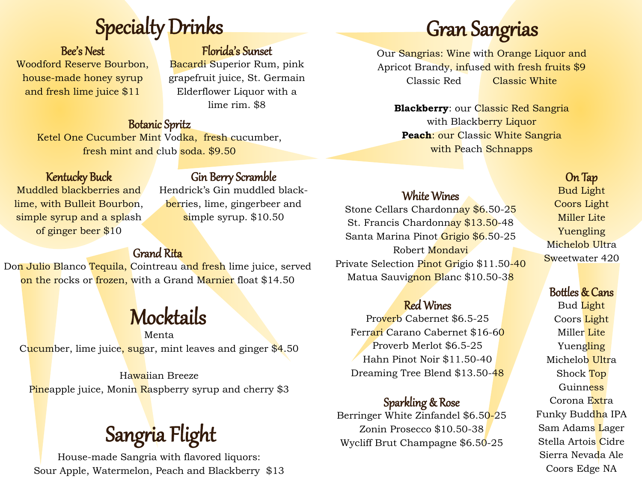# Specialty Drinks

Bee's Nest Woodford Reserve Bourbon, house-made honey syrup and fresh lime juice \$11

### Florida's Sunset

Bacardi Superior Rum, pink grapefruit juice, St. Germain Elderflower Liquor with a lime rim. \$8

#### Botanic Spritz

Ketel One Cucumber Mint Vodka, fresh cucumber, fresh mint and club soda. \$9.50

### Kentucky Buck

Gin Berry Scramble

Muddled blackberries and lime, with Bulleit Bourbon, simple syrup and a splash of ginger beer \$10

Hendrick's Gin muddled blackberries, lime, gingerbeer and simple syrup. \$10.50

### Grand Rita

Don Julio Blanco Tequila, Cointreau and fresh lime juice, served on the rocks or frozen, with a Grand Marnier float \$14.50

### **Mocktails**

Menta Cucumber, lime juice, sugar, mint leaves and ginger \$4.50

Hawaiian Breeze Pineapple juice, Monin Raspberry syrup and cherry \$3

House-made Sangria with flavored liquors: Sour Apple, Watermelon, Peach and Blackberry \$13

## Gran Sangrias

Our Sangrias: Wine with Orange Liquor and Apricot Brandy, infused with fresh fruits \$9 Classic Red Classic White

**Blackberry:** our Classic Red Sangria with Blackberry Liquor **Peach**: our Classic White Sangria with Peach Schnapps

### On Tap

Bud Light Coors Light Miller Lite Yuengling Michelob Ultra Sweetwater 420

### Bottles & Cans

Bud Light Coors Light Miller Lite Yuengling Michelob Ultra Shock Top Guinness Corona Extra Funky Buddha IPA Sam Adams Lager Stella Artois Cidre Sierra Nevada Ale Coors Edge NA

### White Wines

Stone Cellars Chardonnay \$6.50-25 St. Francis Chardonnay \$13.50-48 Santa Marina Pinot Grigio \$6.50-25 Robert Mondavi Private Selection Pinot Grigio \$11.50-40 Matua Sauvignon Blanc \$10.50-38

### Red Wines

Proverb Cabernet \$6.5-25 Ferrari Carano Cabernet \$16-60 Proverb Merlot \$6.5-25 Hahn Pinot Noir \$11.50-40 Dreaming Tree Blend \$13.50-48

### Sparkling & Rose

Berringer White Zinfandel \$6.50-25 Zonin Prosecco \$10.50-38 Sangria Flight Europe Manusch Musliff Brut Champagne \$6.50-25